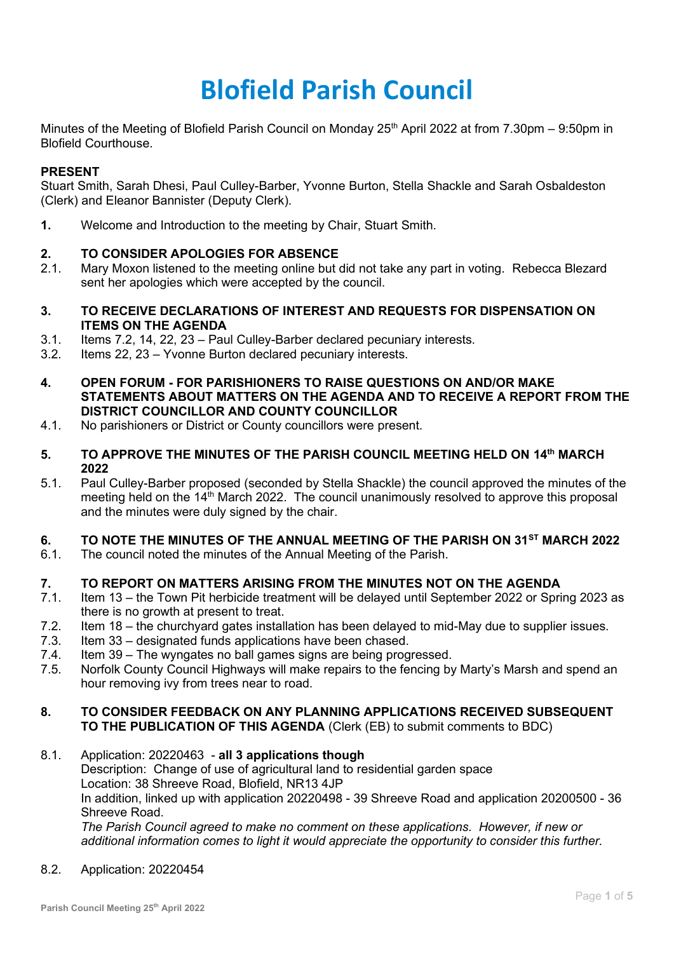# **Blofield Parish Council**

Minutes of the Meeting of Blofield Parish Council on Monday 25<sup>th</sup> April 2022 at from 7.30pm – 9:50pm in Blofield Courthouse.

## **PRESENT**

Stuart Smith, Sarah Dhesi, Paul Culley-Barber, Yvonne Burton, Stella Shackle and Sarah Osbaldeston (Clerk) and Eleanor Bannister (Deputy Clerk).

**1.** Welcome and Introduction to the meeting by Chair, Stuart Smith.

# **2. TO CONSIDER APOLOGIES FOR ABSENCE**

- 2.1. Mary Moxon listened to the meeting online but did not take any part in voting. Rebecca Blezard sent her apologies which were accepted by the council.
- **3. TO RECEIVE DECLARATIONS OF INTEREST AND REQUESTS FOR DISPENSATION ON ITEMS ON THE AGENDA**
- 3.1. Items 7.2, 14, 22, 23 Paul Culley-Barber declared pecuniary interests.
- 3.2. Items 22, 23 Yvonne Burton declared pecuniary interests.
- **4. OPEN FORUM - FOR PARISHIONERS TO RAISE QUESTIONS ON AND/OR MAKE STATEMENTS ABOUT MATTERS ON THE AGENDA AND TO RECEIVE A REPORT FROM THE DISTRICT COUNCILLOR AND COUNTY COUNCILLOR**
- 4.1. No parishioners or District or County councillors were present.
- **5. TO APPROVE THE MINUTES OF THE PARISH COUNCIL MEETING HELD ON 14th MARCH 2022**
- 5.1. Paul Culley-Barber proposed (seconded by Stella Shackle) the council approved the minutes of the meeting held on the 14<sup>th</sup> March 2022. The council unanimously resolved to approve this proposal and the minutes were duly signed by the chair.

# **6. TO NOTE THE MINUTES OF THE ANNUAL MEETING OF THE PARISH ON 31ST MARCH 2022**

6.1. The council noted the minutes of the Annual Meeting of the Parish.

# **7. TO REPORT ON MATTERS ARISING FROM THE MINUTES NOT ON THE AGENDA**

- 7.1. Item 13 the Town Pit herbicide treatment will be delayed until September 2022 or Spring 2023 as there is no growth at present to treat.
- 7.2. Item 18 the churchyard gates installation has been delayed to mid-May due to supplier issues.
- 7.3. Item 33 designated funds applications have been chased.
- 7.4. Item 39 The wyngates no ball games signs are being progressed.
- 7.5. Norfolk County Council Highways will make repairs to the fencing by Marty's Marsh and spend an hour removing ivy from trees near to road.

## **8. TO CONSIDER FEEDBACK ON ANY PLANNING APPLICATIONS RECEIVED SUBSEQUENT TO THE PUBLICATION OF THIS AGENDA** (Clerk (EB) to submit comments to BDC)

### 8.1. Application: 20220463 - **all 3 applications though** Description: Change of use of agricultural land to residential garden space Location: 38 Shreeve Road, Blofield, NR13 4JP In addition, linked up with application 20220498 - 39 Shreeve Road and application 20200500 - 36 Shreeve Road. *The Parish Council agreed to make no comment on these applications. However, if new or additional information comes to light it would appreciate the opportunity to consider this further.*

#### 8.2. Application: 20220454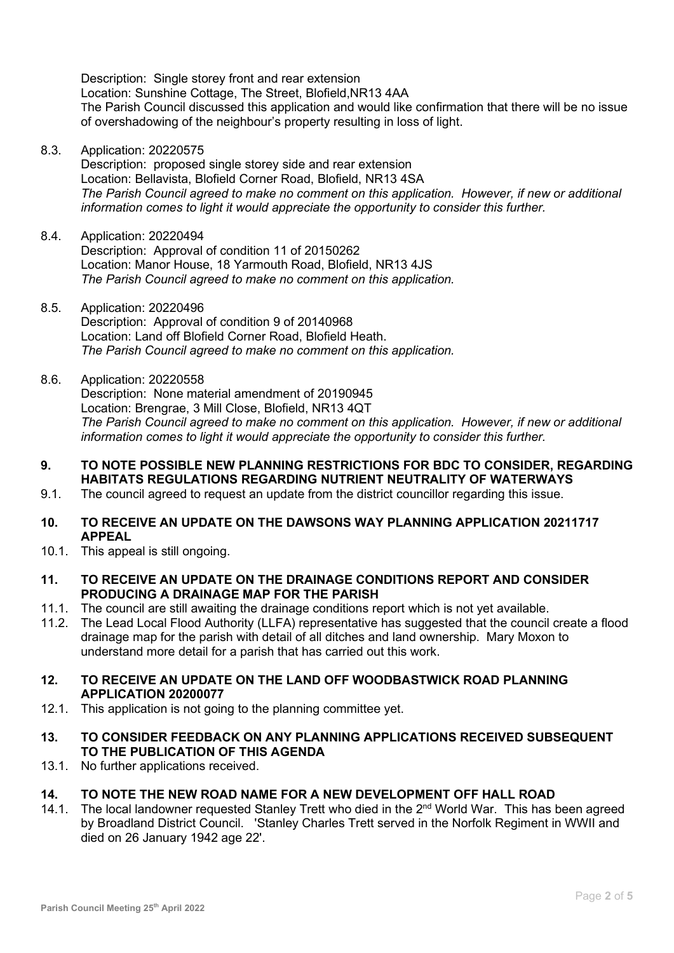Description: Single storey front and rear extension Location: Sunshine Cottage, The Street, Blofield,NR13 4AA The Parish Council discussed this application and would like confirmation that there will be no issue of overshadowing of the neighbour's property resulting in loss of light.

8.3. Application: 20220575

Description: proposed single storey side and rear extension Location: Bellavista, Blofield Corner Road, Blofield, NR13 4SA *The Parish Council agreed to make no comment on this application. However, if new or additional information comes to light it would appreciate the opportunity to consider this further.* 

- 8.4. Application: 20220494 Description: Approval of condition 11 of 20150262 Location: Manor House, 18 Yarmouth Road, Blofield, NR13 4JS *The Parish Council agreed to make no comment on this application.*
- 8.5. Application: 20220496 Description: Approval of condition 9 of 20140968 Location: Land off Blofield Corner Road, Blofield Heath. *The Parish Council agreed to make no comment on this application.*
- 8.6. Application: 20220558 Description: None material amendment of 20190945 Location: Brengrae, 3 Mill Close, Blofield, NR13 4QT *The Parish Council agreed to make no comment on this application. However, if new or additional information comes to light it would appreciate the opportunity to consider this further.*
- **9. TO NOTE POSSIBLE NEW PLANNING RESTRICTIONS FOR BDC TO CONSIDER, REGARDING HABITATS REGULATIONS REGARDING NUTRIENT NEUTRALITY OF WATERWAYS**
- 9.1. The council agreed to request an update from the district councillor regarding this issue.
- **10. TO RECEIVE AN UPDATE ON THE DAWSONS WAY PLANNING APPLICATION 20211717 APPEAL**
- 10.1. This appeal is still ongoing.
- **11. TO RECEIVE AN UPDATE ON THE DRAINAGE CONDITIONS REPORT AND CONSIDER PRODUCING A DRAINAGE MAP FOR THE PARISH**
- 11.1. The council are still awaiting the drainage conditions report which is not yet available.
- 11.2. The Lead Local Flood Authority (LLFA) representative has suggested that the council create a flood drainage map for the parish with detail of all ditches and land ownership. Mary Moxon to understand more detail for a parish that has carried out this work.
- **12. TO RECEIVE AN UPDATE ON THE LAND OFF WOODBASTWICK ROAD PLANNING APPLICATION 20200077**
- 12.1. This application is not going to the planning committee yet.
- **13. TO CONSIDER FEEDBACK ON ANY PLANNING APPLICATIONS RECEIVED SUBSEQUENT TO THE PUBLICATION OF THIS AGENDA**
- 13.1. No further applications received.
- **14. TO NOTE THE NEW ROAD NAME FOR A NEW DEVELOPMENT OFF HALL ROAD**
- 14.1. The local landowner requested Stanley Trett who died in the 2<sup>nd</sup> World War. This has been agreed by Broadland District Council. 'Stanley Charles Trett served in the Norfolk Regiment in WWII and died on 26 January 1942 age 22'.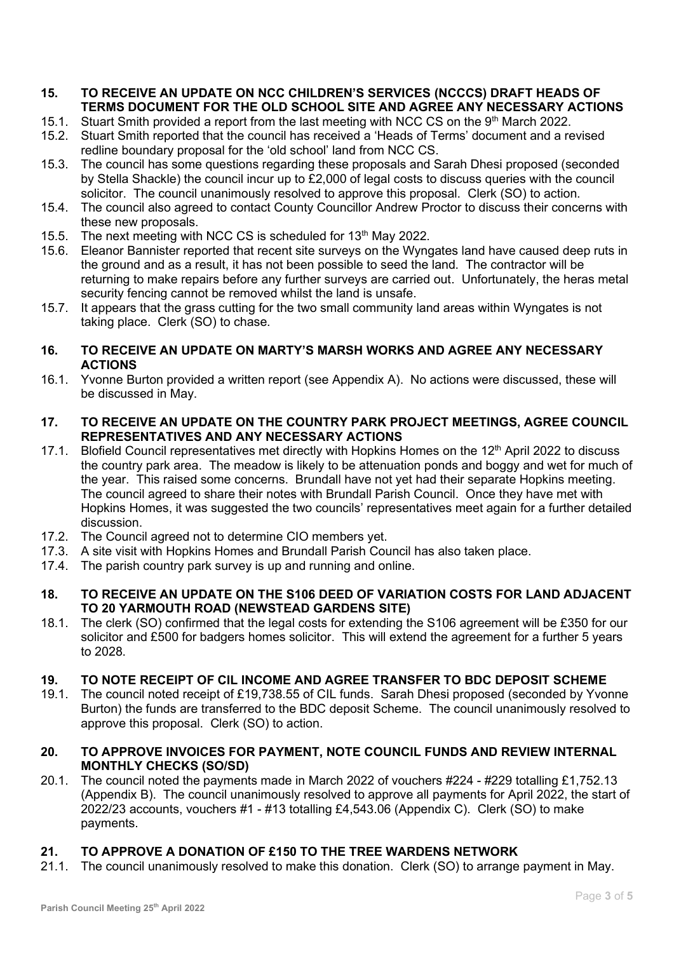## **15. TO RECEIVE AN UPDATE ON NCC CHILDREN'S SERVICES (NCCCS) DRAFT HEADS OF TERMS DOCUMENT FOR THE OLD SCHOOL SITE AND AGREE ANY NECESSARY ACTIONS**

- 15.1. Stuart Smith provided a report from the last meeting with NCC CS on the 9<sup>th</sup> March 2022.
- 15.2. Stuart Smith reported that the council has received a 'Heads of Terms' document and a revised redline boundary proposal for the 'old school' land from NCC CS.
- 15.3. The council has some questions regarding these proposals and Sarah Dhesi proposed (seconded by Stella Shackle) the council incur up to £2,000 of legal costs to discuss queries with the council solicitor. The council unanimously resolved to approve this proposal. Clerk (SO) to action.
- 15.4. The council also agreed to contact County Councillor Andrew Proctor to discuss their concerns with these new proposals.
- 15.5. The next meeting with NCC CS is scheduled for 13<sup>th</sup> May 2022.
- 15.6. Eleanor Bannister reported that recent site surveys on the Wyngates land have caused deep ruts in the ground and as a result, it has not been possible to seed the land. The contractor will be returning to make repairs before any further surveys are carried out. Unfortunately, the heras metal security fencing cannot be removed whilst the land is unsafe.
- 15.7. It appears that the grass cutting for the two small community land areas within Wyngates is not taking place. Clerk (SO) to chase.

# **16. TO RECEIVE AN UPDATE ON MARTY'S MARSH WORKS AND AGREE ANY NECESSARY ACTIONS**

16.1. Yvonne Burton provided a written report (see Appendix A). No actions were discussed, these will be discussed in May.

# **17. TO RECEIVE AN UPDATE ON THE COUNTRY PARK PROJECT MEETINGS, AGREE COUNCIL REPRESENTATIVES AND ANY NECESSARY ACTIONS**

- 17.1. Blofield Council representatives met directly with Hopkins Homes on the 12<sup>th</sup> April 2022 to discuss the country park area. The meadow is likely to be attenuation ponds and boggy and wet for much of the year. This raised some concerns. Brundall have not yet had their separate Hopkins meeting. The council agreed to share their notes with Brundall Parish Council. Once they have met with Hopkins Homes, it was suggested the two councils' representatives meet again for a further detailed discussion.
- 17.2. The Council agreed not to determine CIO members yet.
- 17.3. A site visit with Hopkins Homes and Brundall Parish Council has also taken place.
- 17.4. The parish country park survey is up and running and online.

# **18. TO RECEIVE AN UPDATE ON THE S106 DEED OF VARIATION COSTS FOR LAND ADJACENT TO 20 YARMOUTH ROAD (NEWSTEAD GARDENS SITE)**

18.1. The clerk (SO) confirmed that the legal costs for extending the S106 agreement will be £350 for our solicitor and £500 for badgers homes solicitor. This will extend the agreement for a further 5 years to 2028.

# **19. TO NOTE RECEIPT OF CIL INCOME AND AGREE TRANSFER TO BDC DEPOSIT SCHEME**

19.1. The council noted receipt of £19,738.55 of CIL funds. Sarah Dhesi proposed (seconded by Yvonne Burton) the funds are transferred to the BDC deposit Scheme. The council unanimously resolved to approve this proposal. Clerk (SO) to action.

# **20. TO APPROVE INVOICES FOR PAYMENT, NOTE COUNCIL FUNDS AND REVIEW INTERNAL MONTHLY CHECKS (SO/SD)**

20.1. The council noted the payments made in March 2022 of vouchers #224 - #229 totalling £1,752.13 (Appendix B). The council unanimously resolved to approve all payments for April 2022, the start of 2022/23 accounts, vouchers #1 - #13 totalling £4,543.06 (Appendix C). Clerk (SO) to make payments.

# **21. TO APPROVE A DONATION OF £150 TO THE TREE WARDENS NETWORK**

21.1. The council unanimously resolved to make this donation. Clerk (SO) to arrange payment in May.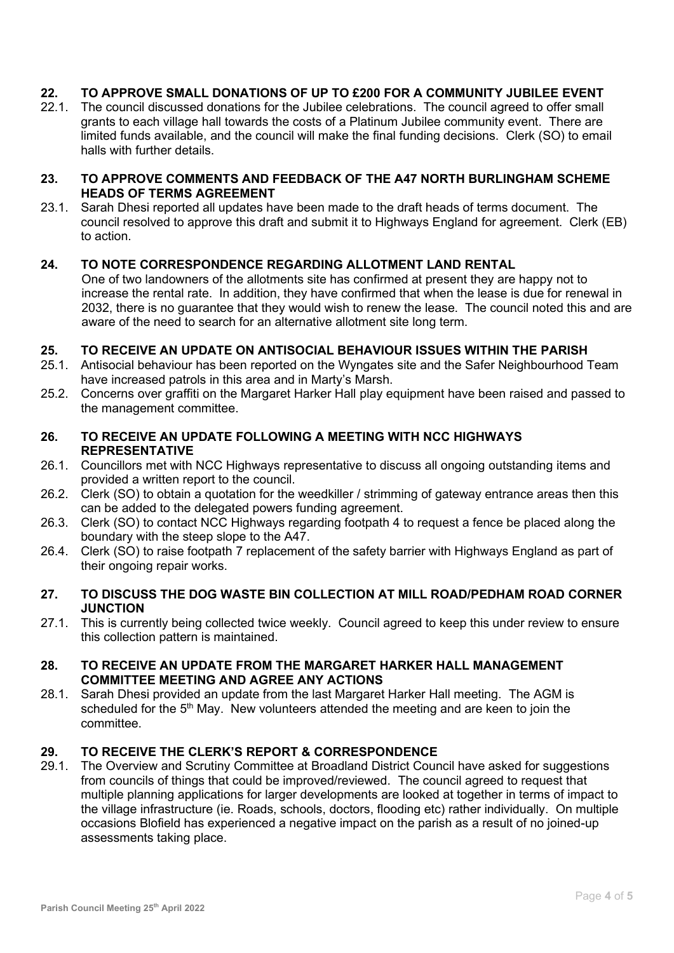# **22. TO APPROVE SMALL DONATIONS OF UP TO £200 FOR A COMMUNITY JUBILEE EVENT**

22.1. The council discussed donations for the Jubilee celebrations. The council agreed to offer small grants to each village hall towards the costs of a Platinum Jubilee community event. There are limited funds available, and the council will make the final funding decisions. Clerk (SO) to email halls with further details.

### **23. TO APPROVE COMMENTS AND FEEDBACK OF THE A47 NORTH BURLINGHAM SCHEME HEADS OF TERMS AGREEMENT**

23.1. Sarah Dhesi reported all updates have been made to the draft heads of terms document. The council resolved to approve this draft and submit it to Highways England for agreement. Clerk (EB) to action.

# **24. TO NOTE CORRESPONDENCE REGARDING ALLOTMENT LAND RENTAL**

One of two landowners of the allotments site has confirmed at present they are happy not to increase the rental rate. In addition, they have confirmed that when the lease is due for renewal in 2032, there is no guarantee that they would wish to renew the lease. The council noted this and are aware of the need to search for an alternative allotment site long term.

## **25. TO RECEIVE AN UPDATE ON ANTISOCIAL BEHAVIOUR ISSUES WITHIN THE PARISH**

- 25.1. Antisocial behaviour has been reported on the Wyngates site and the Safer Neighbourhood Team have increased patrols in this area and in Marty's Marsh.
- 25.2. Concerns over graffiti on the Margaret Harker Hall play equipment have been raised and passed to the management committee.

# **26. TO RECEIVE AN UPDATE FOLLOWING A MEETING WITH NCC HIGHWAYS REPRESENTATIVE**

- 26.1. Councillors met with NCC Highways representative to discuss all ongoing outstanding items and provided a written report to the council.
- 26.2. Clerk (SO) to obtain a quotation for the weedkiller / strimming of gateway entrance areas then this can be added to the delegated powers funding agreement.
- 26.3. Clerk (SO) to contact NCC Highways regarding footpath 4 to request a fence be placed along the boundary with the steep slope to the A47.
- 26.4. Clerk (SO) to raise footpath 7 replacement of the safety barrier with Highways England as part of their ongoing repair works.

## **27. TO DISCUSS THE DOG WASTE BIN COLLECTION AT MILL ROAD/PEDHAM ROAD CORNER JUNCTION**

27.1. This is currently being collected twice weekly. Council agreed to keep this under review to ensure this collection pattern is maintained.

## **28. TO RECEIVE AN UPDATE FROM THE MARGARET HARKER HALL MANAGEMENT COMMITTEE MEETING AND AGREE ANY ACTIONS**

28.1. Sarah Dhesi provided an update from the last Margaret Harker Hall meeting. The AGM is scheduled for the  $5<sup>th</sup>$  May. New volunteers attended the meeting and are keen to join the committee.

# **29. TO RECEIVE THE CLERK'S REPORT & CORRESPONDENCE**

29.1. The Overview and Scrutiny Committee at Broadland District Council have asked for suggestions from councils of things that could be improved/reviewed. The council agreed to request that multiple planning applications for larger developments are looked at together in terms of impact to the village infrastructure (ie. Roads, schools, doctors, flooding etc) rather individually. On multiple occasions Blofield has experienced a negative impact on the parish as a result of no joined-up assessments taking place.